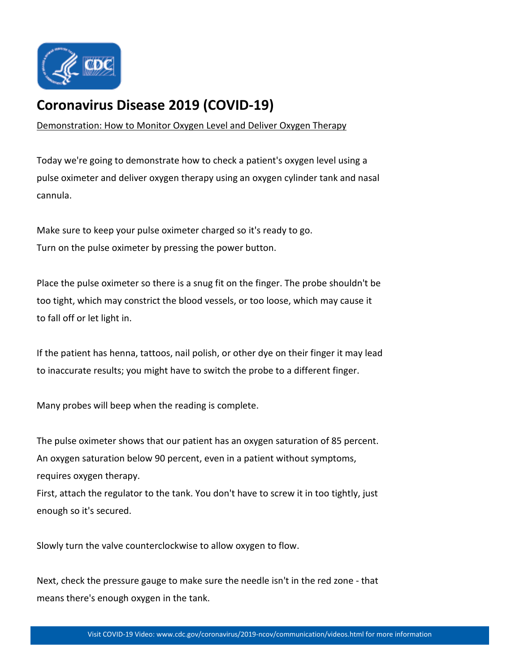

## **[Coronavirus Disease 2019 \(COVID-19\)](https://www.cdc.gov/coronavirus/2019-nCoV/index.html)**

[Demonstration: How to Monitor Oxygen Level and Deliver Oxygen Therapy](https://www.youtube.com/watch?v=Ixxqgg_Q76M)

Today we're going to demonstrate how to check a patient's oxygen level using a pulse oximeter and deliver oxygen therapy using an oxygen cylinder tank and nasal cannula.

Make sure to keep your pulse oximeter charged so it's ready to go. Turn on the pulse oximeter by pressing the power button.

Place the pulse oximeter so there is a snug fit on the finger. The probe shouldn't be too tight, which may constrict the blood vessels, or too loose, which may cause it to fall off or let light in.

If the patient has henna, tattoos, nail polish, or other dye on their finger it may lead to inaccurate results; you might have to switch the probe to a different finger.

Many probes will beep when the reading is complete.

The pulse oximeter shows that our patient has an oxygen saturation of 85 percent. An oxygen saturation below 90 percent, even in a patient without symptoms, requires oxygen therapy.

First, attach the regulator to the tank. You don't have to screw it in too tightly, just enough so it's secured.

Slowly turn the valve counterclockwise to allow oxygen to flow.

Next, check the pressure gauge to make sure the needle isn't in the red zone - that means there's enough oxygen in the tank.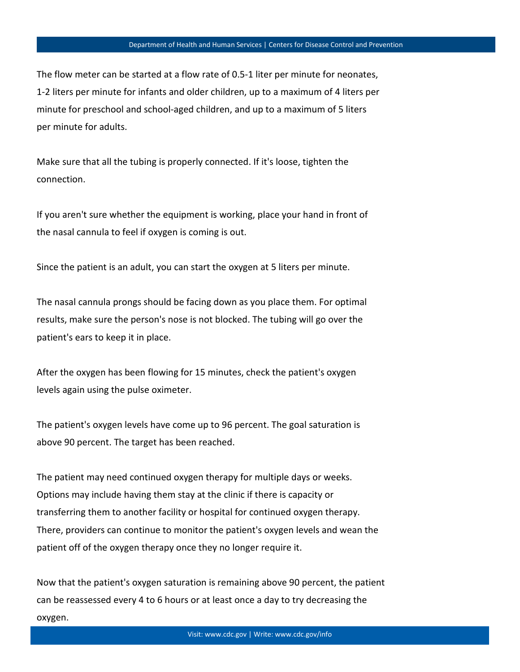The flow meter can be started at a flow rate of 0.5-1 liter per minute for neonates, 1-2 liters per minute for infants and older children, up to a maximum of 4 liters per minute for preschool and school-aged children, and up to a maximum of 5 liters per minute for adults.

Make sure that all the tubing is properly connected. If it's loose, tighten the connection.

If you aren't sure whether the equipment is working, place your hand in front of the nasal cannula to feel if oxygen is coming is out.

Since the patient is an adult, you can start the oxygen at 5 liters per minute.

The nasal cannula prongs should be facing down as you place them. For optimal results, make sure the person's nose is not blocked. The tubing will go over the patient's ears to keep it in place.

After the oxygen has been flowing for 15 minutes, check the patient's oxygen levels again using the pulse oximeter.

The patient's oxygen levels have come up to 96 percent. The goal saturation is above 90 percent. The target has been reached.

The patient may need continued oxygen therapy for multiple days or weeks. Options may include having them stay at the clinic if there is capacity or transferring them to another facility or hospital for continued oxygen therapy. There, providers can continue to monitor the patient's oxygen levels and wean the patient off of the oxygen therapy once they no longer require it.

Now that the patient's oxygen saturation is remaining above 90 percent, the patient can be reassessed every 4 to 6 hours or at least once a day to try decreasing the oxygen.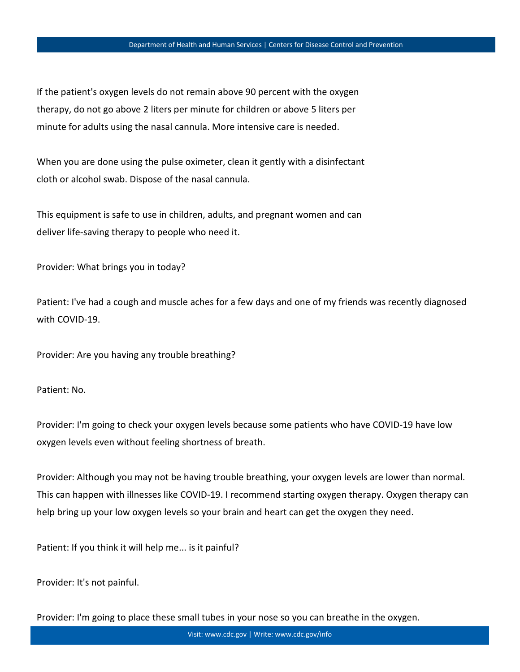If the patient's oxygen levels do not remain above 90 percent with the oxygen therapy, do not go above 2 liters per minute for children or above 5 liters per minute for adults using the nasal cannula. More intensive care is needed.

When you are done using the pulse oximeter, clean it gently with a disinfectant cloth or alcohol swab. Dispose of the nasal cannula.

This equipment is safe to use in children, adults, and pregnant women and can deliver life-saving therapy to people who need it.

Provider: What brings you in today?

Patient: I've had a cough and muscle aches for a few days and one of my friends was recently diagnosed with COVID-19.

Provider: Are you having any trouble breathing?

Patient: No.

Provider: I'm going to check your oxygen levels because some patients who have COVID-19 have low oxygen levels even without feeling shortness of breath.

Provider: Although you may not be having trouble breathing, your oxygen levels are lower than normal. This can happen with illnesses like COVID-19. I recommend starting oxygen therapy. Oxygen therapy can help bring up your low oxygen levels so your brain and heart can get the oxygen they need.

Patient: If you think it will help me... is it painful?

Provider: It's not painful.

Provider: I'm going to place these small tubes in your nose so you can breathe in the oxygen.

Visit: www.cdc.gov | Write: www.cdc.gov/info